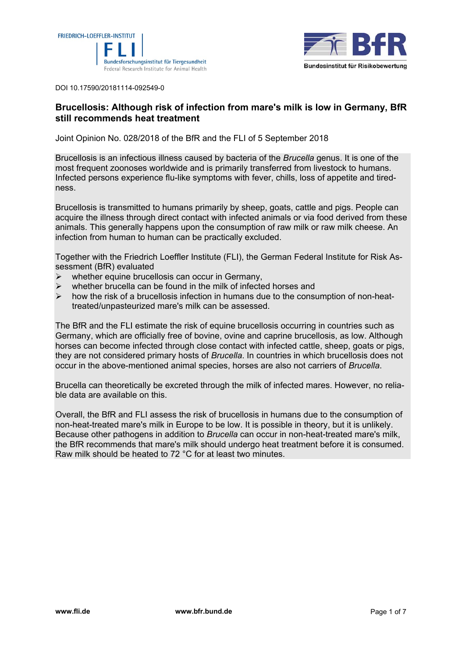



DOI 10.17590/20181114-092549-0

# **Brucellosis: Although risk of infection from mare's milk is low in Germany, BfR still recommends heat treatment**

Joint Opinion No. 028/2018 of the BfR and the FLI of 5 September 2018

Brucellosis is an infectious illness caused by bacteria of the *Brucella* genus. It is one of the most frequent zoonoses worldwide and is primarily transferred from livestock to humans. Infected persons experience flu-like symptoms with fever, chills, loss of appetite and tiredness.

Brucellosis is transmitted to humans primarily by sheep, goats, cattle and pigs. People can acquire the illness through direct contact with infected animals or via food derived from these animals. This generally happens upon the consumption of raw milk or raw milk cheese. An infection from human to human can be practically excluded.

Together with the Friedrich Loeffler Institute (FLI), the German Federal Institute for Risk Assessment (BfR) evaluated

- $\triangleright$  whether equine brucellosis can occur in Germany,
- $\triangleright$  whether brucella can be found in the milk of infected horses and
- $\triangleright$  how the risk of a brucellosis infection in humans due to the consumption of non-heattreated/unpasteurized mare's milk can be assessed.

The BfR and the FLI estimate the risk of equine brucellosis occurring in countries such as Germany, which are officially free of bovine, ovine and caprine brucellosis, as low. Although horses can become infected through close contact with infected cattle, sheep, goats or pigs, they are not considered primary hosts of *Brucella*. In countries in which brucellosis does not occur in the above-mentioned animal species, horses are also not carriers of *Brucella*.

Brucella can theoretically be excreted through the milk of infected mares. However, no reliable data are available on this.

Overall, the BfR and FLI assess the risk of brucellosis in humans due to the consumption of non-heat-treated mare's milk in Europe to be low. It is possible in theory, but it is unlikely. Because other pathogens in addition to *Brucella* can occur in non-heat-treated mare's milk, the BfR recommends that mare's milk should undergo heat treatment before it is consumed. Raw milk should be heated to 72 °C for at least two minutes.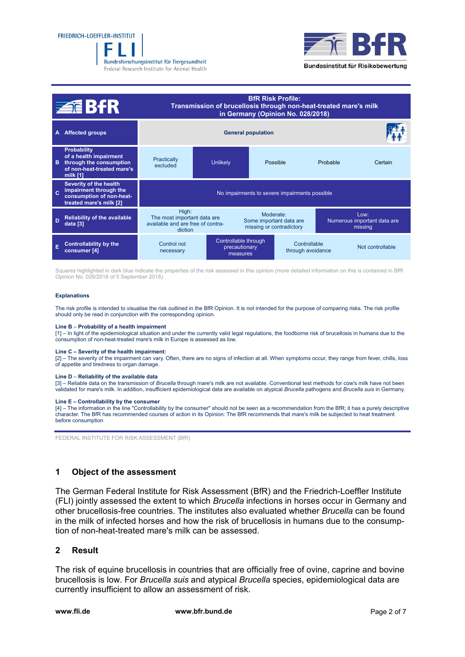



Bundesinstitut für Risikobewertung



Squares highlighted in dark blue indicate the properties of the risk assessed in this opinion (more detailed information on this is contained in BfR Opinion No. 028/2018 of 5 September 2018).

#### **Explanations**

The risk profile is intended to visualise the risk outlined in the BfR Opinion. It is not intended for the purpose of comparing risks. The risk profile should only be read in conjunction with the corresponding opinion.

#### **Line B** – **Probability of a health impairment**

[1] – In light of the epidemiological situation and under the currently valid legal regulations, the foodborne risk of brucellosis in humans due to the consumption of non-heat-treated mare's milk in Europe is assessed as low.

#### **Line C – Severity of the health impairment:**

[2] – The severity of the impairment can vary. Often, there are no signs of infection at all. When symptoms occur, they range from fever, chills, loss of appetite and tiredness to organ damage.

#### **Line D** – **Reliability of the available data**

[3] – Reliable data on the transmission of *Brucella* through mare's milk are not available. Conventional test methods for cow's milk have not been validated for mare's milk. In addition, insufficient epidemiological data are available on atypical *Brucella* pathogens and *Brucella suis* in Germany.

#### **Line E – Controllability by the consumer**

[4] – The information in the line "Controllability by the consumer" should not be seen as a recommendation from the BfR; it has a purely descriptive character. The BfR has recommended courses of action in its Opinion: The BfR recommends that mare's milk be subjected to heat treatment before consumption

FEDERAL INSTITUTE FOR RISK ASSESSMENT (BfR)

#### **1 Object of the assessment**

The German Federal Institute for Risk Assessment (BfR) and the Friedrich-Loeffler Institute (FLI) jointly assessed the extent to which *Brucella* infections in horses occur in Germany and other brucellosis-free countries. The institutes also evaluated whether *Brucella* can be found in the milk of infected horses and how the risk of brucellosis in humans due to the consumption of non-heat-treated mare's milk can be assessed.

#### **2 Result**

The risk of equine brucellosis in countries that are officially free of ovine, caprine and bovine brucellosis is low. For *Brucella suis* and atypical *Brucella* species, epidemiological data are currently insufficient to allow an assessment of risk.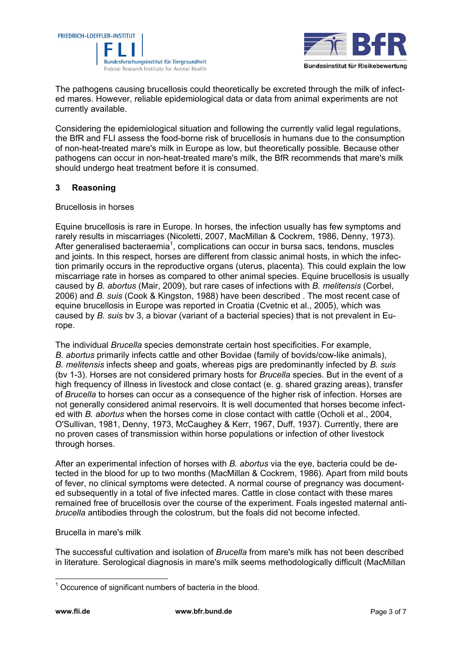![](_page_2_Picture_0.jpeg)

![](_page_2_Picture_1.jpeg)

The pathogens causing brucellosis could theoretically be excreted through the milk of infected mares. However, reliable epidemiological data or data from animal experiments are not currently available.

Considering the epidemiological situation and following the currently valid legal regulations, the BfR and FLI assess the food-borne risk of brucellosis in humans due to the consumption of non-heat-treated mare's milk in Europe as low, but theoretically possible. Because other pathogens can occur in non-heat-treated mare's milk, the BfR recommends that mare's milk should undergo heat treatment before it is consumed.

# **3 Reasoning**

## Brucellosis in horses

Equine brucellosis is rare in Europe. In horses, the infection usually has few symptoms and rarely results in miscarriages (Nicoletti, 2007, MacMillan & Cockrem, 1986, Denny, 1973). After generalised bacteraemia<sup>[1](#page-3-0)</sup>, complications can occur in bursa sacs, tendons, muscles and joints. In this respect, horses are different from classic animal hosts, in which the infection primarily occurs in the reproductive organs (uterus, placenta). This could explain the low miscarriage rate in horses as compared to other animal species. Equine brucellosis is usually caused by *B. abortus* (Mair, 2009), but rare cases of infections with *B. melitensis* (Corbel, 2006) and *B. suis* (Cook & Kingston, 1988) have been described . The most recent case of equine brucellosis in Europe was reported in Croatia (Cvetnic et al., 2005), which was caused by *B. suis* bv 3, a biovar (variant of a bacterial species) that is not prevalent in Europe.

The individual *Brucella* species demonstrate certain host specificities. For example, *B. abortus* primarily infects cattle and other Bovidae (family of bovids/cow-like animals), *B. melitensis* infects sheep and goats, whereas pigs are predominantly infected by *B. suis* (bv 1-3). Horses are not considered primary hosts for *Brucella* species. But in the event of a high frequency of illness in livestock and close contact (e. g. shared grazing areas), transfer of *Brucella* to horses can occur as a consequence of the higher risk of infection. Horses are not generally considered animal reservoirs. It is well documented that horses become infected with *B. abortus* when the horses come in close contact with cattle (Ocholi et al., 2004, O'Sullivan, 1981, Denny, 1973, McCaughey & Kerr, 1967, Duff, 1937). Currently, there are no proven cases of transmission within horse populations or infection of other livestock through horses.

After an experimental infection of horses with *B. abortus* via the eye, bacteria could be detected in the blood for up to two months (MacMillan & Cockrem, 1986). Apart from mild bouts of fever, no clinical symptoms were detected. A normal course of pregnancy was documented subsequently in a total of five infected mares. Cattle in close contact with these mares remained free of brucellosis over the course of the experiment. Foals ingested maternal anti*brucella* antibodies through the colostrum, but the foals did not become infected.

#### Brucella in mare's milk

The successful cultivation and isolation of *Brucella* from mare's milk has not been described in literature. Serological diagnosis in mare's milk seems methodologically difficult (MacMillan

<sup>————————————————————&</sup>lt;br><sup>1</sup> Occurence of significant numbers of bacteria in the blood.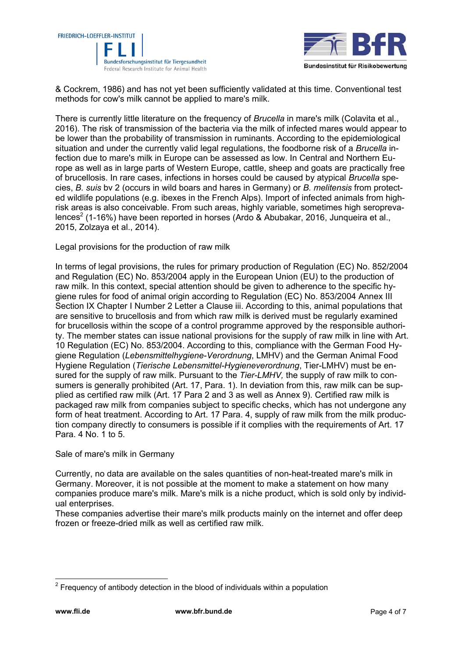<span id="page-3-0"></span>![](_page_3_Picture_0.jpeg)

![](_page_3_Picture_1.jpeg)

& Cockrem, 1986) and has not yet been sufficiently validated at this time. Conventional test methods for cow's milk cannot be applied to mare's milk.

There is currently little literature on the frequency of *Brucella* in mare's milk (Colavita et al., 2016). The risk of transmission of the bacteria via the milk of infected mares would appear to be lower than the probability of transmission in ruminants. According to the epidemiological situation and under the currently valid legal regulations, the foodborne risk of a *Brucella* infection due to mare's milk in Europe can be assessed as low. In Central and Northern Europe as well as in large parts of Western Europe, cattle, sheep and goats are practically free of brucellosis. In rare cases, infections in horses could be caused by atypical *Brucella* species, *B. suis* bv 2 (occurs in wild boars and hares in Germany) or *B. melitensis* from protected wildlife populations (e.g. ibexes in the French Alps). Import of infected animals from highrisk areas is also conceivable. From such areas, highly variable, sometimes high seropreva-lences<sup>[2](#page-4-0)</sup> (1-16%) have been reported in horses (Ardo & Abubakar, 2016, Junqueira et al., 2015, Zolzaya et al., 2014).

Legal provisions for the production of raw milk

In terms of legal provisions, the rules for primary production of Regulation (EC) No. 852/2004 and Regulation (EC) No. 853/2004 apply in the European Union (EU) to the production of raw milk. In this context, special attention should be given to adherence to the specific hygiene rules for food of animal origin according to Regulation (EC) No. 853/2004 Annex III Section IX Chapter I Number 2 Letter a Clause iii. According to this, animal populations that are sensitive to brucellosis and from which raw milk is derived must be regularly examined for brucellosis within the scope of a control programme approved by the responsible authority. The member states can issue national provisions for the supply of raw milk in line with Art. 10 Regulation (EC) No. 853/2004. According to this, compliance with the German Food Hygiene Regulation (*Lebensmittelhygiene-Verordnung*, LMHV) and the German Animal Food Hygiene Regulation (*Tierische Lebensmittel-Hygieneverordnung*, Tier-LMHV) must be ensured for the supply of raw milk. Pursuant to the *Tier-LMHV,* the supply of raw milk to consumers is generally prohibited (Art. 17, Para. 1). In deviation from this, raw milk can be supplied as certified raw milk (Art. 17 Para 2 and 3 as well as Annex 9). Certified raw milk is packaged raw milk from companies subject to specific checks, which has not undergone any form of heat treatment. According to Art. 17 Para. 4, supply of raw milk from the milk production company directly to consumers is possible if it complies with the requirements of Art. 17 Para. 4 No. 1 to 5.

Sale of mare's milk in Germany

Currently, no data are available on the sales quantities of non-heat-treated mare's milk in Germany. Moreover, it is not possible at the moment to make a statement on how many companies produce mare's milk. Mare's milk is a niche product, which is sold only by individual enterprises.

These companies advertise their mare's milk products mainly on the internet and offer deep frozen or freeze-dried milk as well as certified raw milk.

 2 Frequency of antibody detection in the blood of individuals within a population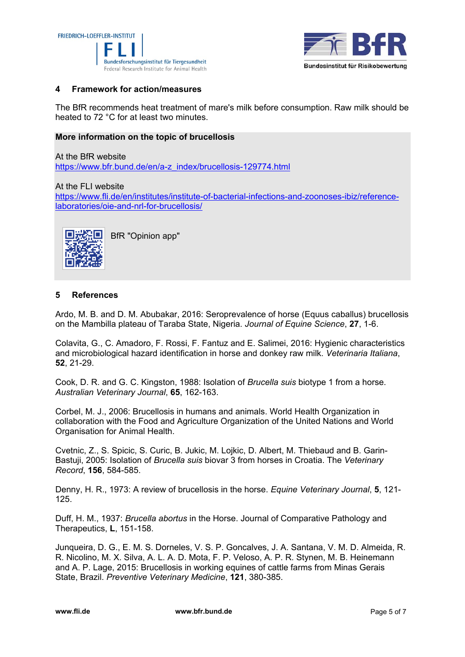<span id="page-4-0"></span>![](_page_4_Picture_0.jpeg)

![](_page_4_Picture_1.jpeg)

### **4 Framework for action/measures**

The BfR recommends heat treatment of mare's milk before consumption. Raw milk should be heated to 72 °C for at least two minutes.

### **More information on the topic of brucellosis**

At the BfR website [https://www.bfr.bund.de/en/a-z\\_index/brucellosis-129774.html](https://www.bfr.bund.de/en/a-z_index/brucellosis-129774.html) 

At the FLI website [https://www.fli.de/en/institutes/institute-of-bacterial-infections-and-zoonoses-ibiz/reference](https://www.fli.de/en/institutes/institute-of-bacterial-infections-and-zoonoses-ibiz/reference-laboratories/oie-and-nrl-for-brucellosis/)laboratories/oie-and-nrl-for-brucellosis/

![](_page_4_Picture_7.jpeg)

BfR "Opinion app"

## **5 References**

Ardo, M. B. and D. M. Abubakar, 2016: Seroprevalence of horse (Equus caballus) brucellosis on the Mambilla plateau of Taraba State, Nigeria. *Journal of Equine Science*, **27**, 1-6.

Colavita, G., C. Amadoro, F. Rossi, F. Fantuz and E. Salimei, 2016: Hygienic characteristics and microbiological hazard identification in horse and donkey raw milk. *Veterinaria Italiana*, **52**, 21-29.

Cook, D. R. and G. C. Kingston, 1988: Isolation of *Brucella suis* biotype 1 from a horse. *Australian Veterinary Journal*, **65**, 162-163.

Corbel, M. J., 2006: Brucellosis in humans and animals. World Health Organization in collaboration with the Food and Agriculture Organization of the United Nations and World Organisation for Animal Health.

Cvetnic, Z., S. Spicic, S. Curic, B. Jukic, M. Lojkic, D. Albert, M. Thiebaud and B. Garin-Bastuji, 2005: Isolation of *Brucella suis* biovar 3 from horses in Croatia. The *Veterinary Record*, **156**, 584-585.

Denny, H. R., 1973: A review of brucellosis in the horse. *Equine Veterinary Journal*, **5**, 121- 125.

Duff, H. M., 1937: *Brucella abortus* in the Horse. Journal of Comparative Pathology and Therapeutics, **L**, 151-158.

Junqueira, D. G., E. M. S. Dorneles, V. S. P. Goncalves, J. A. Santana, V. M. D. Almeida, R. R. Nicolino, M. X. Silva, A. L. A. D. Mota, F. P. Veloso, A. P. R. Stynen, M. B. Heinemann and A. P. Lage, 2015: Brucellosis in working equines of cattle farms from Minas Gerais State, Brazil. *Preventive Veterinary Medicine*, **121**, 380-385.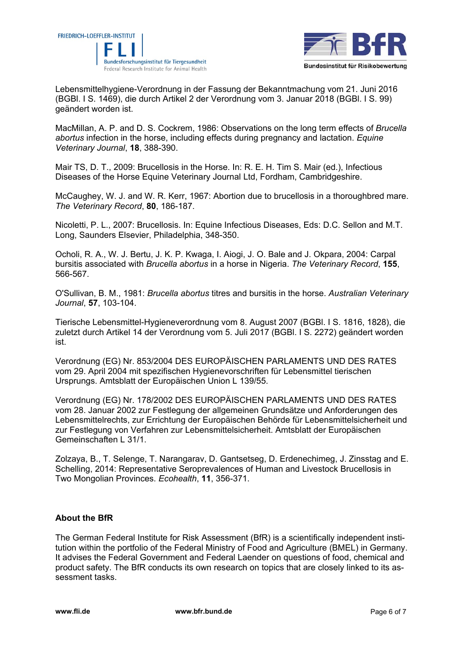![](_page_5_Picture_0.jpeg)

![](_page_5_Picture_1.jpeg)

Lebensmittelhygiene-Verordnung in der Fassung der Bekanntmachung vom 21. Juni 2016 (BGBl. I S. 1469), die durch Artikel 2 der Verordnung vom 3. Januar 2018 (BGBl. I S. 99) geändert worden ist.

MacMillan, A. P. and D. S. Cockrem, 1986: Observations on the long term effects of *Brucella abortus* infection in the horse, including effects during pregnancy and lactation. *Equine Veterinary Journal*, **18**, 388-390.

Mair TS, D. T., 2009: Brucellosis in the Horse. In: R. E. H. Tim S. Mair (ed.), Infectious Diseases of the Horse Equine Veterinary Journal Ltd, Fordham, Cambridgeshire.

McCaughey, W. J. and W. R. Kerr, 1967: Abortion due to brucellosis in a thoroughbred mare. *The Veterinary Record*, **80**, 186-187.

Nicoletti, P. L., 2007: Brucellosis. In: Equine Infectious Diseases, Eds: D.C. Sellon and M.T. Long, Saunders Elsevier, Philadelphia, 348-350.

Ocholi, R. A., W. J. Bertu, J. K. P. Kwaga, I. Aiogi, J. O. Bale and J. Okpara, 2004: Carpal bursitis associated with *Brucella abortus* in a horse in Nigeria. *The Veterinary Record*, **155**, 566-567.

O'Sullivan, B. M., 1981: *Brucella abortus* titres and bursitis in the horse. *Australian Veterinary Journal*, **57**, 103-104.

Tierische Lebensmittel-Hygieneverordnung vom 8. August 2007 (BGBl. I S. 1816, 1828), die zuletzt durch Artikel 14 der Verordnung vom 5. Juli 2017 (BGBl. I S. 2272) geändert worden ist.

Verordnung (EG) Nr. 853/2004 DES EUROPÄISCHEN PARLAMENTS UND DES RATES vom 29. April 2004 mit spezifischen Hygienevorschriften für Lebensmittel tierischen Ursprungs. Amtsblatt der Europäischen Union L 139/55.

Verordnung (EG) Nr. 178/2002 DES EUROPÄISCHEN PARLAMENTS UND DES RATES vom 28. Januar 2002 zur Festlegung der allgemeinen Grundsätze und Anforderungen des Lebensmittelrechts, zur Errichtung der Europäischen Behörde für Lebensmittelsicherheit und zur Festlegung von Verfahren zur Lebensmittelsicherheit. Amtsblatt der Europäischen Gemeinschaften L 31/1.

Zolzaya, B., T. Selenge, T. Narangarav, D. Gantsetseg, D. Erdenechimeg, J. Zinsstag and E. Schelling, 2014: Representative Seroprevalences of Human and Livestock Brucellosis in Two Mongolian Provinces. *Ecohealth*, **11**, 356-371.

# **About the BfR**

The German Federal Institute for Risk Assessment (BfR) is a scientifically independent institution within the portfolio of the Federal Ministry of Food and Agriculture (BMEL) in Germany. It advises the Federal Government and Federal Laender on questions of food, chemical and product safety. The BfR conducts its own research on topics that are closely linked to its assessment tasks.